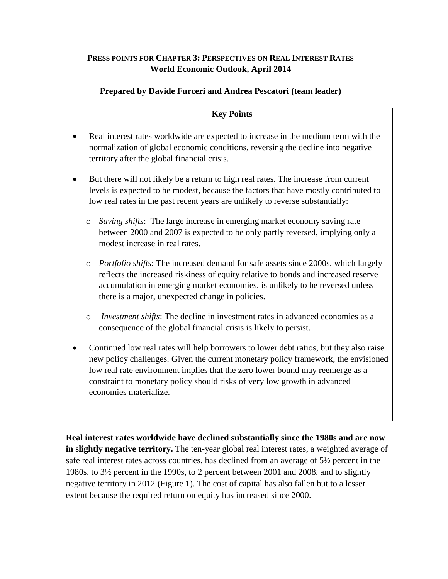## **PRESS POINTS FOR CHAPTER 3: PERSPECTIVES ON REAL INTEREST RATES World Economic Outlook, April 2014**

## **Prepared by Davide Furceri and Andrea Pescatori (team leader)**

## **Key Points**

- Real interest rates worldwide are expected to increase in the medium term with the normalization of global economic conditions, reversing the decline into negative territory after the global financial crisis.
- But there will not likely be a return to high real rates. The increase from current levels is expected to be modest, because the factors that have mostly contributed to low real rates in the past recent years are unlikely to reverse substantially:
	- o *Saving shifts*: The large increase in emerging market economy saving rate between 2000 and 2007 is expected to be only partly reversed, implying only a modest increase in real rates.
	- o *Portfolio shifts*: The increased demand for safe assets since 2000s, which largely reflects the increased riskiness of equity relative to bonds and increased reserve accumulation in emerging market economies, is unlikely to be reversed unless there is a major, unexpected change in policies.
	- o *Investment shifts*: The decline in investment rates in advanced economies as a consequence of the global financial crisis is likely to persist.
- Continued low real rates will help borrowers to lower debt ratios, but they also raise new policy challenges. Given the current monetary policy framework, the envisioned low real rate environment implies that the zero lower bound may reemerge as a constraint to monetary policy should risks of very low growth in advanced economies materialize.

**Real interest rates worldwide have declined substantially since the 1980s and are now in slightly negative territory.** The ten-year global real interest rates, a weighted average of safe real interest rates across countries, has declined from an average of 5½ percent in the 1980s, to 3½ percent in the 1990s, to 2 percent between 2001 and 2008, and to slightly negative territory in 2012 (Figure 1). The cost of capital has also fallen but to a lesser extent because the required return on equity has increased since 2000.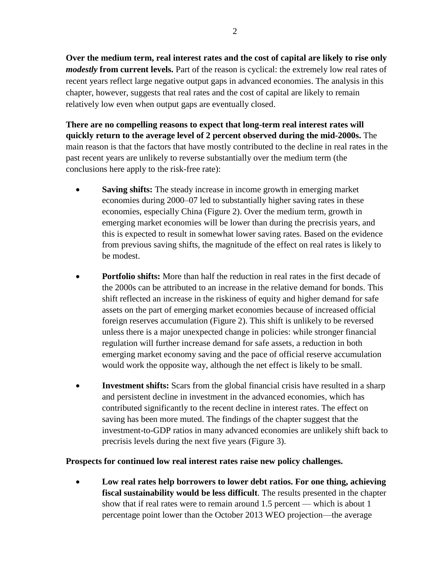**Over the medium term, real interest rates and the cost of capital are likely to rise only**  *modestly* **from current levels.** Part of the reason is cyclical: the extremely low real rates of recent years reflect large negative output gaps in advanced economies. The analysis in this chapter, however, suggests that real rates and the cost of capital are likely to remain relatively low even when output gaps are eventually closed.

**There are no compelling reasons to expect that long-term real interest rates will quickly return to the average level of 2 percent observed during the mid-2000s.** The main reason is that the factors that have mostly contributed to the decline in real rates in the past recent years are unlikely to reverse substantially over the medium term (the conclusions here apply to the risk-free rate):

- **Saving shifts:** The steady increase in income growth in emerging market economies during 2000–07 led to substantially higher saving rates in these economies, especially China (Figure 2). Over the medium term, growth in emerging market economies will be lower than during the precrisis years, and this is expected to result in somewhat lower saving rates. Based on the evidence from previous saving shifts, the magnitude of the effect on real rates is likely to be modest.
- **Portfolio shifts:** More than half the reduction in real rates in the first decade of the 2000s can be attributed to an increase in the relative demand for bonds. This shift reflected an increase in the riskiness of equity and higher demand for safe assets on the part of emerging market economies because of increased official foreign reserves accumulation (Figure 2). This shift is unlikely to be reversed unless there is a major unexpected change in policies: while stronger financial regulation will further increase demand for safe assets, a reduction in both emerging market economy saving and the pace of official reserve accumulation would work the opposite way, although the net effect is likely to be small.
- **Investment shifts:** Scars from the global financial crisis have resulted in a sharp and persistent decline in investment in the advanced economies, which has contributed significantly to the recent decline in interest rates. The effect on saving has been more muted. The findings of the chapter suggest that the investment-to-GDP ratios in many advanced economies are unlikely shift back to precrisis levels during the next five years (Figure 3).

## **Prospects for continued low real interest rates raise new policy challenges.**

 **Low real rates help borrowers to lower debt ratios. For one thing, achieving fiscal sustainability would be less difficult**. The results presented in the chapter show that if real rates were to remain around 1.5 percent — which is about 1 percentage point lower than the October 2013 WEO projection—the average